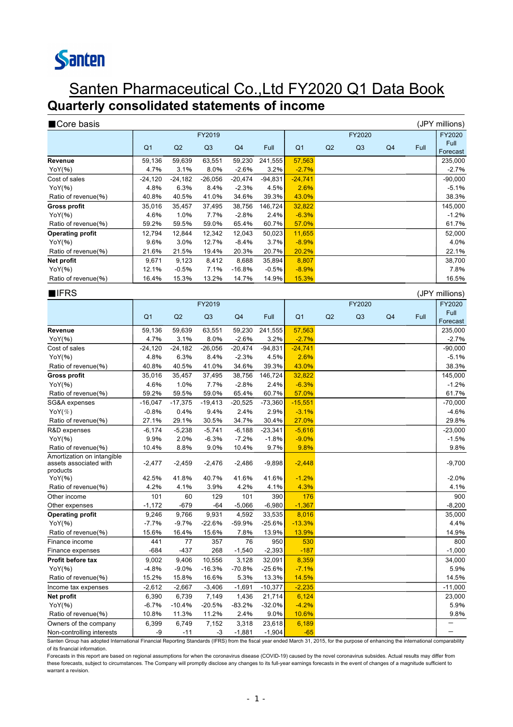# Santen

### Santen Pharmaceutical Co.,Ltd FY2020 Q1 Data Book **Quarterly consolidated statements of income**

| Core basis              |                |                |           |                |           |                |                |                |                |      | (JPY millions)   |
|-------------------------|----------------|----------------|-----------|----------------|-----------|----------------|----------------|----------------|----------------|------|------------------|
|                         |                |                | FY2019    |                |           |                |                | FY2020         |                |      | FY2020           |
|                         | Q <sub>1</sub> | Q <sub>2</sub> | Q3        | Q <sub>4</sub> | Full      | Q <sub>1</sub> | Q <sub>2</sub> | Q <sub>3</sub> | Q <sub>4</sub> | Full | Full<br>Forecast |
| Revenue                 | 59,136         | 59,639         | 63,551    | 59,230         | 241,555   | 57,563         |                |                |                |      | 235,000          |
| YoY(%)                  | 4.7%           | 3.1%           | 8.0%      | $-2.6%$        | 3.2%      | $-2.7%$        |                |                |                |      | $-2.7%$          |
| Cost of sales           | $-24,120$      | $-24,182$      | $-26,056$ | $-20,474$      | $-94,831$ | $-24,741$      |                |                |                |      | $-90,000$        |
| YoY(%)                  | 4.8%           | 6.3%           | 8.4%      | $-2.3%$        | 4.5%      | 2.6%           |                |                |                |      | $-5.1%$          |
| Ratio of revenue(%)     | 40.8%          | 40.5%          | 41.0%     | 34.6%          | 39.3%     | 43.0%          |                |                |                |      | 38.3%            |
| <b>Gross profit</b>     | 35,016         | 35,457         | 37,495    | 38,756         | 146,724   | 32,822         |                |                |                |      | 145,000          |
| YoY(%)                  | 4.6%           | 1.0%           | 7.7%      | $-2.8%$        | 2.4%      | $-6.3%$        |                |                |                |      | $-1.2%$          |
| Ratio of revenue(%)     | 59.2%          | 59.5%          | 59.0%     | 65.4%          | 60.7%     | 57.0%          |                |                |                |      | 61.7%            |
| <b>Operating profit</b> | 12,794         | 12,844         | 12,342    | 12,043         | 50,023    | 11,655         |                |                |                |      | 52,000           |
| YoY(%)                  | 9.6%           | 3.0%           | 12.7%     | $-8.4%$        | 3.7%      | $-8.9%$        |                |                |                |      | 4.0%             |
| Ratio of revenue(%)     | 21.6%          | 21.5%          | 19.4%     | 20.3%          | 20.7%     | 20.2%          |                |                |                |      | 22.1%            |
| Net profit              | 9,671          | 9,123          | 8,412     | 8,688          | 35,894    | 8,807          |                |                |                |      | 38,700           |
| YoY(%)                  | 12.1%          | $-0.5%$        | 7.1%      | $-16.8%$       | $-0.5%$   | $-8.9%$        |                |                |                |      | 7.8%             |
| Ratio of revenue(%)     | 16.4%          | 15.3%          | 13.2%     | 14.7%          | 14.9%     | 15.3%          |                |                |                |      | 16.5%            |
|                         |                |                |           |                |           |                |                |                |                |      |                  |

| $I$ IFRS                                                         |                |           |           |                |           |                |    |                |                |             | (JPY millions)   |
|------------------------------------------------------------------|----------------|-----------|-----------|----------------|-----------|----------------|----|----------------|----------------|-------------|------------------|
|                                                                  |                |           | FY2019    |                |           |                |    | FY2020         |                | FY2020      |                  |
|                                                                  | Q <sub>1</sub> | Q2        | Q3        | Q <sub>4</sub> | Full      | Q <sub>1</sub> | Q2 | Q <sub>3</sub> | Q <sub>4</sub> | <b>Full</b> | Full<br>Forecast |
| Revenue                                                          | 59,136         | 59,639    | 63,551    | 59,230         | 241,555   | 57,563         |    |                |                |             | 235,000          |
| $YOY(\% )$                                                       | 4.7%           | 3.1%      | 8.0%      | $-2.6%$        | 3.2%      | $-2.7%$        |    |                |                |             | $-2.7%$          |
| Cost of sales                                                    | $-24,120$      | $-24,182$ | $-26,056$ | $-20,474$      | $-94,831$ | $-24,741$      |    |                |                |             | $-90,000$        |
| $YOY(\% )$                                                       | 4.8%           | 6.3%      | 8.4%      | $-2.3%$        | 4.5%      | 2.6%           |    |                |                |             | $-5.1%$          |
| Ratio of revenue(%)                                              | 40.8%          | 40.5%     | 41.0%     | 34.6%          | 39.3%     | 43.0%          |    |                |                |             | 38.3%            |
| <b>Gross profit</b>                                              | 35,016         | 35,457    | 37,495    | 38,756         | 146,724   | 32,822         |    |                |                |             | 145,000          |
| $YOY(\% )$                                                       | 4.6%           | 1.0%      | 7.7%      | $-2.8%$        | 2.4%      | $-6.3%$        |    |                |                |             | $-1.2%$          |
| Ratio of revenue(%)                                              | 59.2%          | 59.5%     | 59.0%     | 65.4%          | 60.7%     | 57.0%          |    |                |                |             | 61.7%            |
| SG&A expenses                                                    | $-16,047$      | $-17,375$ | $-19,413$ | $-20,525$      | $-73,360$ | $-15,551$      |    |                |                |             | $-70,000$        |
| $\mathsf{Yo}\mathsf{Y}({\mathcal{K}})$                           | $-0.8%$        | 0.4%      | 9.4%      | 2.4%           | 2.9%      | $-3.1%$        |    |                |                |             | $-4.6%$          |
| Ratio of revenue(%)                                              | 27.1%          | 29.1%     | 30.5%     | 34.7%          | 30.4%     | 27.0%          |    |                |                |             | 29.8%            |
| R&D expenses                                                     | $-6,174$       | $-5,238$  | $-5,741$  | $-6,188$       | $-23,341$ | $-5,616$       |    |                |                |             | $-23,000$        |
| $YOY(\% )$                                                       | 9.9%           | 2.0%      | $-6.3%$   | $-7.2%$        | $-1.8%$   | $-9.0%$        |    |                |                |             | $-1.5%$          |
| Ratio of revenue(%)                                              | 10.4%          | 8.8%      | 9.0%      | 10.4%          | 9.7%      | 9.8%           |    |                |                |             | 9.8%             |
| Amortization on intangible<br>assets associated with<br>products | $-2,477$       | $-2,459$  | $-2,476$  | $-2,486$       | $-9,898$  | $-2,448$       |    |                |                |             | $-9,700$         |
| YoY(%)                                                           | 42.5%          | 41.8%     | 40.7%     | 41.6%          | 41.6%     | $-1.2%$        |    |                |                |             | $-2.0%$          |
| Ratio of revenue(%)                                              | 4.2%           | 4.1%      | 3.9%      | 4.2%           | 4.1%      | 4.3%           |    |                |                |             | 4.1%             |
| Other income                                                     | 101            | 60        | 129       | 101            | 390       | 176            |    |                |                |             | 900              |
| Other expenses                                                   | $-1,172$       | $-679$    | $-64$     | $-5,066$       | $-6,980$  | $-1,367$       |    |                |                |             | $-8,200$         |
| <b>Operating profit</b>                                          | 9,246          | 9,766     | 9,931     | 4,592          | 33,535    | 8,016          |    |                |                |             | 35,000           |
| $YOY(\% )$                                                       | $-7.7%$        | $-9.7%$   | $-22.6%$  | $-59.9%$       | $-25.6%$  | $-13.3%$       |    |                |                |             | 4.4%             |
| Ratio of revenue(%)                                              | 15.6%          | 16.4%     | 15.6%     | 7.8%           | 13.9%     | 13.9%          |    |                |                |             | 14.9%            |
| Finance income                                                   | 441            | 77        | 357       | 76             | 950       | 530            |    |                |                |             | 800              |
| Finance expenses                                                 | $-684$         | $-437$    | 268       | $-1,540$       | $-2,393$  | $-187$         |    |                |                |             | $-1,000$         |
| Profit before tax                                                | 9,002          | 9,406     | 10,556    | 3,128          | 32,091    | 8,359          |    |                |                |             | 34,000           |
| YoY(%)                                                           | $-4.8%$        | $-9.0%$   | $-16.3%$  | $-70.8%$       | $-25.6%$  | $-7.1%$        |    |                |                |             | 5.9%             |
| Ratio of revenue(%)                                              | 15.2%          | 15.8%     | 16.6%     | 5.3%           | 13.3%     | 14.5%          |    |                |                |             | 14.5%            |
| Income tax expenses                                              | $-2,612$       | $-2,667$  | $-3,406$  | $-1,691$       | $-10,377$ | $-2,235$       |    |                |                |             | $-11,000$        |
| Net profit                                                       | 6,390          | 6,739     | 7,149     | 1,436          | 21,714    | 6,124          |    |                |                |             | 23,000           |
| YoY(%)                                                           | $-6.7%$        | $-10.4%$  | $-20.5%$  | $-83.2%$       | $-32.0%$  | $-4.2%$        |    |                |                |             | 5.9%             |
| Ratio of revenue(%)                                              | 10.8%          | 11.3%     | 11.2%     | 2.4%           | 9.0%      | 10.6%          |    |                |                |             | 9.8%             |
| Owners of the company                                            | 6,399          | 6,749     | 7,152     | 3,318          | 23,618    | 6,189          |    |                |                |             |                  |
| Non-controlling interests                                        | -9             | $-11$     | $-3$      | $-1,881$       | $-1,904$  | $-65$          |    |                |                |             |                  |

Santen Group has adopted International Financial Reporting Standards (IFRS) from the fiscal year ended March 31, 2015, for the purpose of enhancing the international comparability of its financial information.

Forecasts in this report are based on regional assumptions for when the coronavirus disease (COVID-19) caused by the novel coronavirus subsides. Actual results may differ from these forecasts, subject to circumstances. The Company will promptly disclose any changes to its full-year earnings forecasts in the event of changes of a magnitude sufficient to warrant a revision.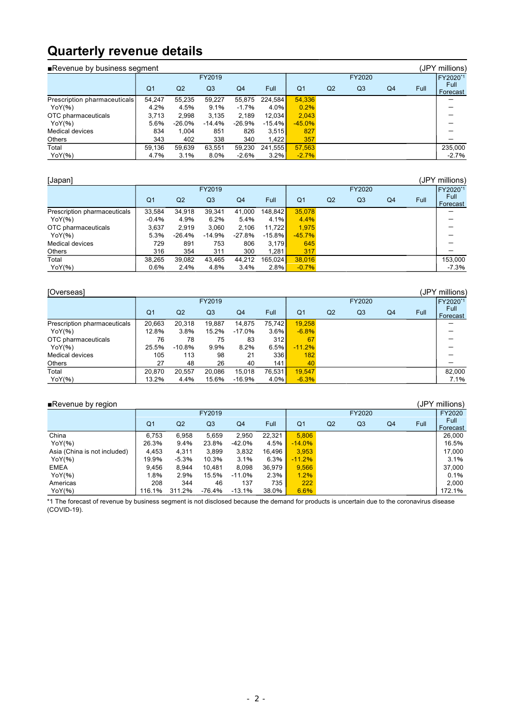### **Quarterly revenue details**

| Revenue by business segment  |                |          |                |          |          |                |                |                |                |      | (JPY millions)   |
|------------------------------|----------------|----------|----------------|----------|----------|----------------|----------------|----------------|----------------|------|------------------|
|                              |                |          | FY2019         |          |          | FY2020         |                |                |                |      | FY2020*1         |
|                              | Q <sub>1</sub> | Q2       | Q <sub>3</sub> | Q4       | Full     | Q <sub>1</sub> | Q <sub>2</sub> | Q <sub>3</sub> | Q <sub>4</sub> | Full | Full<br>Forecast |
| Prescription pharmaceuticals | 54.247         | 55,235   | 59,227         | 55,875   | 224.584  | 54,336         |                |                |                |      |                  |
| YoY(%)                       | 4.2%           | 4.5%     | 9.1%           | $-1.7%$  | 4.0%     | 0.2%           |                |                |                |      |                  |
| OTC pharmaceuticals          | 3.713          | 2.998    | 3.135          | 2.189    | 12.034   | 2.043          |                |                |                |      |                  |
| YoY(%)                       | 5.6%           | $-26.0%$ | $-14.4%$       | $-26.9%$ | $-15.4%$ | $-45.0%$       |                |                |                |      |                  |
| Medical devices              | 834            | 1.004    | 851            | 826      | 3,515    | 827            |                |                |                |      |                  |
| Others                       | 343            | 402      | 338            | 340      | 1.422    | 357            |                |                |                |      |                  |
| Total                        | 59.136         | 59.639   | 63.551         | 59.230   | 241.555  | 57.563         |                |                |                |      | 235.000          |
| YoY(%)                       | 4.7%           | 3.1%     | 8.0%           | $-2.6%$  | 3.2%     | $-2.7%$        |                |                |                |      | $-2.7%$          |

| [Japan]                      |                |                |                |                |                        |                |                |                |    |             | (JPY millions)   |
|------------------------------|----------------|----------------|----------------|----------------|------------------------|----------------|----------------|----------------|----|-------------|------------------|
|                              |                |                | FY2019         |                |                        |                |                | FY2020         |    |             | FY2020*1         |
|                              | Q <sub>1</sub> | Q <sub>2</sub> | Q <sub>3</sub> | Q <sub>4</sub> | Full                   | Q <sub>1</sub> | Q <sub>2</sub> | Q <sub>3</sub> | Q4 | <b>Full</b> | Full<br>Forecast |
| Prescription pharmaceuticals | 33,584         | 34.918         | 39.341         | 41,000         | 148.842 <mark> </mark> | 35.078         |                |                |    |             |                  |
| YoY(%)                       | $-0.4%$        | 4.9%           | 6.2%           | 5.4%           | 4.1%                   | 4.4%           |                |                |    |             |                  |
| OTC pharmaceuticals          | 3.637          | 2.919          | 3.060          | 2.106          | 11.722                 | 1.975          |                |                |    |             |                  |
| YoY(%)                       | 5.3%           | -26.4%         | $-14.9%$       | $-27.8%$       | $-15.8%$               | $-45.7%$       |                |                |    |             |                  |
| <b>Medical devices</b>       | 729            | 891            | 753            | 806            | 3,179                  | 645            |                |                |    |             |                  |
| <b>Others</b>                | 316            | 354            | 311            | 300            | 1.281                  | 317            |                |                |    |             |                  |
| Total                        | 38.265         | 39.082         | 43.465         | 44.212         | 165.024                | 38.016         |                |                |    |             | 153.000          |
| YoY(%)                       | 0.6%           | 2.4%           | 4.8%           | 3.4%           | 2.8%                   | $-0.7%$        |                |                |    |             | $-7.3%$          |

| [Overseas]                   |                |                |                |                |        |                |                |                |    |             | (JPY millions)   |
|------------------------------|----------------|----------------|----------------|----------------|--------|----------------|----------------|----------------|----|-------------|------------------|
|                              |                |                | FY2019         |                |        |                |                | FY2020         |    |             | FY2020*1         |
|                              | Q <sub>1</sub> | Q <sub>2</sub> | Q <sub>3</sub> | Q <sub>4</sub> | Full   | Q <sub>1</sub> | Q <sub>2</sub> | Q <sub>3</sub> | Q4 | <b>Full</b> | Full<br>Forecast |
| Prescription pharmaceuticals | 20.663         | 20.318         | 19.887         | 14.875         | 75.742 | 19.258         |                |                |    |             |                  |
| YoY(%)                       | 12.8%          | 3.8%           | 15.2%          | $-17.0%$       | 3.6%   | $-6.8%$        |                |                |    |             |                  |
| OTC pharmaceuticals          | 76             | 78             | 75             | 83             | 312    | 67             |                |                |    |             |                  |
| YoY(%)                       | 25.5%          | $-10.8%$       | 9.9%           | 8.2%           | 6.5%   | $-11.2%$       |                |                |    |             |                  |
| Medical devices              | 105            | 113            | 98             | 21             | 336    | 182            |                |                |    |             |                  |
| <b>Others</b>                | 27             | 48             | 26             | 40             | 141    | 40             |                |                |    |             |                  |
| Total                        | 20.870         | 20.557         | 20.086         | 15.018         | 76.531 | 19.547         |                |                |    |             | 82.000           |
| YoY(%)                       | 13.2%          | 4.4%           | 15.6%          | -16.9%         | 4.0%   | $-6.3%$        |                |                |    |             | 7.1%             |

■Revenue by region (JPY millions)<br>
FY2019 FY2020 FY2020 FY2020 FY2020 FY2020 FY2020 FY2019 FY2020 FY2020 Q1 Q2 Q3 Q4 Full Q1 Q2 Q3 Q4 Full Full Forecast China 6,753 6,958 5,659 2,950 22,321 5,806 26,000 YoY(%) | 26.3% 9.4% 23.8% -42.0% 4.5% <mark>| -14.0%</mark> | 16.5% Asia (China is not included) | 4,453 4,311 3,899 3,832 16,496 <mark>| 3,953</mark> | 17,000 YoY(%) | 19.9% -5.3% 10.3% 3.1% 6.3% <mark>| -11.2%</mark> | 3.1% EMEA | 9,456 8,944 10,481 8,098 36,979 <mark> 9,566</mark> | 37,000 YoY(%) 1.8% 2.9% 15.5% -11.0% 2.3% 1.2% 0.1% Americas 208 344 46 137 735 222 2,000 YoY(%) | 116.1% 311.2% -76.4% -13.1% 38.0% <mark>| 6.6%</mark> 172.1%

\*1 The forecast of revenue by business segment is not disclosed because the demand for products is uncertain due to the coronavirus disease (COVID-19).

### - 2 -